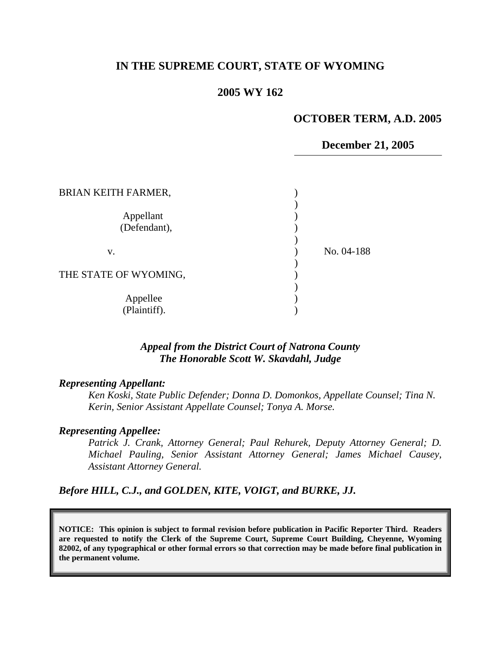# **IN THE SUPREME COURT, STATE OF WYOMING**

# **2005 WY 162**

# **OCTOBER TERM, A.D. 2005**

# **December 21, 2005**

| <b>BRIAN KEITH FARMER,</b> |            |
|----------------------------|------------|
| Appellant<br>(Defendant),  |            |
| V.                         | No. 04-188 |
| THE STATE OF WYOMING,      |            |
| Appellee<br>(Plaintiff).   |            |

## *Appeal from the District Court of Natrona County The Honorable Scott W. Skavdahl, Judge*

## *Representing Appellant:*

*Ken Koski, State Public Defender; Donna D. Domonkos, Appellate Counsel; Tina N. Kerin, Senior Assistant Appellate Counsel; Tonya A. Morse.* 

#### *Representing Appellee:*

*Patrick J. Crank, Attorney General; Paul Rehurek, Deputy Attorney General; D. Michael Pauling, Senior Assistant Attorney General; James Michael Causey, Assistant Attorney General.* 

*Before HILL, C.J., and GOLDEN, KITE, VOIGT, and BURKE, JJ.* 

**NOTICE: This opinion is subject to formal revision before publication in Pacific Reporter Third. Readers are requested to notify the Clerk of the Supreme Court, Supreme Court Building, Cheyenne, Wyoming 82002, of any typographical or other formal errors so that correction may be made before final publication in the permanent volume.**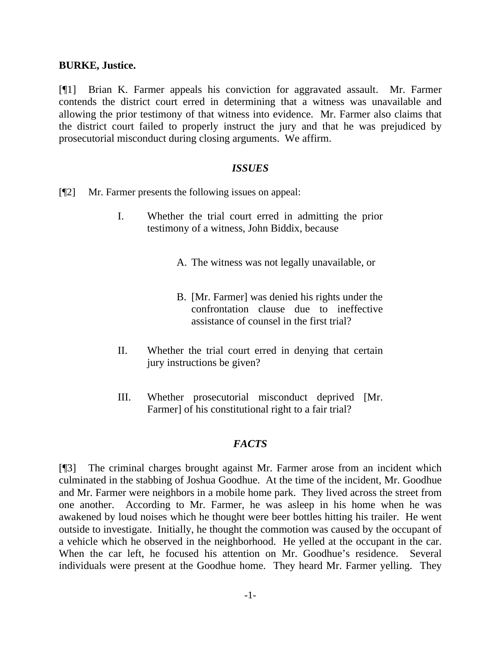### **BURKE, Justice.**

[¶1] Brian K. Farmer appeals his conviction for aggravated assault. Mr. Farmer contends the district court erred in determining that a witness was unavailable and allowing the prior testimony of that witness into evidence. Mr. Farmer also claims that the district court failed to properly instruct the jury and that he was prejudiced by prosecutorial misconduct during closing arguments. We affirm.

## *ISSUES*

- [¶2] Mr. Farmer presents the following issues on appeal:
	- I. Whether the trial court erred in admitting the prior testimony of a witness, John Biddix, because
		- A. The witness was not legally unavailable, or
		- B. [Mr. Farmer] was denied his rights under the confrontation clause due to ineffective assistance of counsel in the first trial?
	- II. Whether the trial court erred in denying that certain jury instructions be given?
	- III. Whether prosecutorial misconduct deprived [Mr. Farmer] of his constitutional right to a fair trial?

### *FACTS*

[¶3] The criminal charges brought against Mr. Farmer arose from an incident which culminated in the stabbing of Joshua Goodhue. At the time of the incident, Mr. Goodhue and Mr. Farmer were neighbors in a mobile home park. They lived across the street from one another. According to Mr. Farmer, he was asleep in his home when he was awakened by loud noises which he thought were beer bottles hitting his trailer. He went outside to investigate. Initially, he thought the commotion was caused by the occupant of a vehicle which he observed in the neighborhood. He yelled at the occupant in the car. When the car left, he focused his attention on Mr. Goodhue's residence. Several individuals were present at the Goodhue home. They heard Mr. Farmer yelling. They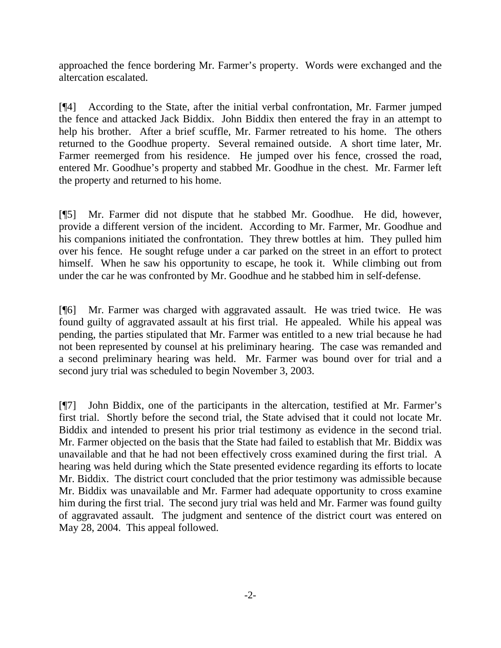approached the fence bordering Mr. Farmer's property. Words were exchanged and the altercation escalated.

[¶4] According to the State, after the initial verbal confrontation, Mr. Farmer jumped the fence and attacked Jack Biddix. John Biddix then entered the fray in an attempt to help his brother. After a brief scuffle, Mr. Farmer retreated to his home. The others returned to the Goodhue property. Several remained outside. A short time later, Mr. Farmer reemerged from his residence. He jumped over his fence, crossed the road, entered Mr. Goodhue's property and stabbed Mr. Goodhue in the chest. Mr. Farmer left the property and returned to his home.

[¶5] Mr. Farmer did not dispute that he stabbed Mr. Goodhue. He did, however, provide a different version of the incident. According to Mr. Farmer, Mr. Goodhue and his companions initiated the confrontation. They threw bottles at him. They pulled him over his fence. He sought refuge under a car parked on the street in an effort to protect himself. When he saw his opportunity to escape, he took it. While climbing out from under the car he was confronted by Mr. Goodhue and he stabbed him in self-defense.

[¶6] Mr. Farmer was charged with aggravated assault. He was tried twice. He was found guilty of aggravated assault at his first trial. He appealed. While his appeal was pending, the parties stipulated that Mr. Farmer was entitled to a new trial because he had not been represented by counsel at his preliminary hearing. The case was remanded and a second preliminary hearing was held. Mr. Farmer was bound over for trial and a second jury trial was scheduled to begin November 3, 2003.

[¶7] John Biddix, one of the participants in the altercation, testified at Mr. Farmer's first trial. Shortly before the second trial, the State advised that it could not locate Mr. Biddix and intended to present his prior trial testimony as evidence in the second trial. Mr. Farmer objected on the basis that the State had failed to establish that Mr. Biddix was unavailable and that he had not been effectively cross examined during the first trial. A hearing was held during which the State presented evidence regarding its efforts to locate Mr. Biddix. The district court concluded that the prior testimony was admissible because Mr. Biddix was unavailable and Mr. Farmer had adequate opportunity to cross examine him during the first trial. The second jury trial was held and Mr. Farmer was found guilty of aggravated assault. The judgment and sentence of the district court was entered on May 28, 2004. This appeal followed.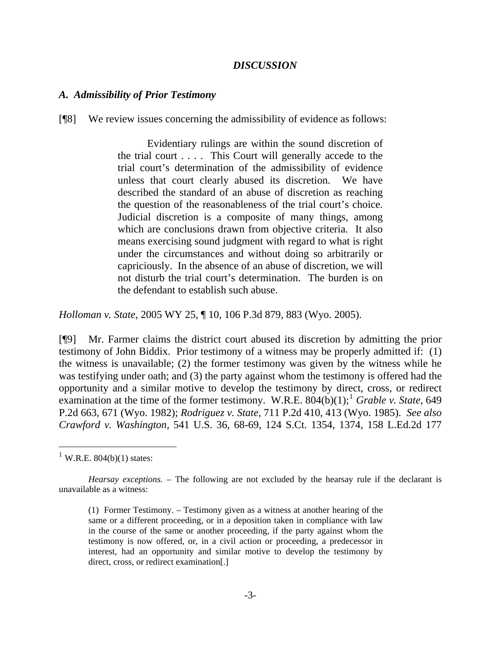## *DISCUSSION*

### *A. Admissibility of Prior Testimony*

[¶8] We review issues concerning the admissibility of evidence as follows:

Evidentiary rulings are within the sound discretion of the trial court . . . . This Court will generally accede to the trial court's determination of the admissibility of evidence unless that court clearly abused its discretion. We have described the standard of an abuse of discretion as reaching the question of the reasonableness of the trial court's choice. Judicial discretion is a composite of many things, among which are conclusions drawn from objective criteria. It also means exercising sound judgment with regard to what is right under the circumstances and without doing so arbitrarily or capriciously. In the absence of an abuse of discretion, we will not disturb the trial court's determination. The burden is on the defendant to establish such abuse.

*Holloman v. State*, 2005 WY 25, ¶ 10, 106 P.3d 879, 883 (Wyo. 2005).

[¶9] Mr. Farmer claims the district court abused its discretion by admitting the prior testimony of John Biddix. Prior testimony of a witness may be properly admitted if: (1) the witness is unavailable; (2) the former testimony was given by the witness while he was testifying under oath; and (3) the party against whom the testimony is offered had the opportunity and a similar motive to develop the testimony by direct, cross, or redirect examination at the time of the former testimony. W.R.E.  $804(b)(1)$  $804(b)(1)$  $804(b)(1)$ ;<sup>1</sup> *Grable v. State*, 649 P.2d 663, 671 (Wyo. 1982); *Rodriguez v. State*, 711 P.2d 410, 413 (Wyo. 1985). *See also Crawford v. Washington,* 541 U.S. 36, 68-69, 124 S.Ct. 1354, 1374, 158 L.Ed.2d 177

 $\overline{a}$ 

<span id="page-3-0"></span> $1$  W.R.E. 804(b)(1) states:

*Hearsay exceptions.* – The following are not excluded by the hearsay rule if the declarant is unavailable as a witness:

<sup>(1)</sup> Former Testimony. – Testimony given as a witness at another hearing of the same or a different proceeding, or in a deposition taken in compliance with law in the course of the same or another proceeding, if the party against whom the testimony is now offered, or, in a civil action or proceeding, a predecessor in interest, had an opportunity and similar motive to develop the testimony by direct, cross, or redirect examination[.]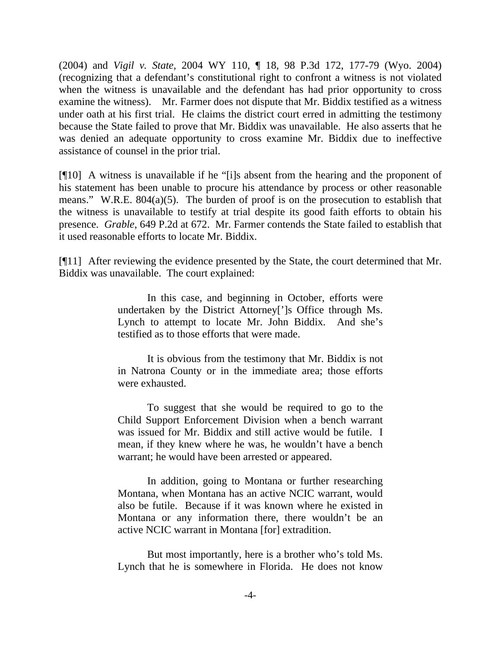(2004) and *Vigil v. State,* 2004 WY 110, ¶ 18, 98 P.3d 172, 177-79 (Wyo. 2004) (recognizing that a defendant's constitutional right to confront a witness is not violated when the witness is unavailable and the defendant has had prior opportunity to cross examine the witness). Mr. Farmer does not dispute that Mr. Biddix testified as a witness under oath at his first trial. He claims the district court erred in admitting the testimony because the State failed to prove that Mr. Biddix was unavailable. He also asserts that he was denied an adequate opportunity to cross examine Mr. Biddix due to ineffective assistance of counsel in the prior trial.

[¶10] A witness is unavailable if he "[i]s absent from the hearing and the proponent of his statement has been unable to procure his attendance by process or other reasonable means." W.R.E. 804(a)(5). The burden of proof is on the prosecution to establish that the witness is unavailable to testify at trial despite its good faith efforts to obtain his presence. *Grable*, 649 P.2d at 672. Mr. Farmer contends the State failed to establish that it used reasonable efforts to locate Mr. Biddix.

[¶11] After reviewing the evidence presented by the State, the court determined that Mr. Biddix was unavailable. The court explained:

> In this case, and beginning in October, efforts were undertaken by the District Attorney[']s Office through Ms. Lynch to attempt to locate Mr. John Biddix. And she's testified as to those efforts that were made.

> It is obvious from the testimony that Mr. Biddix is not in Natrona County or in the immediate area; those efforts were exhausted.

> To suggest that she would be required to go to the Child Support Enforcement Division when a bench warrant was issued for Mr. Biddix and still active would be futile. I mean, if they knew where he was, he wouldn't have a bench warrant; he would have been arrested or appeared.

> In addition, going to Montana or further researching Montana, when Montana has an active NCIC warrant, would also be futile. Because if it was known where he existed in Montana or any information there, there wouldn't be an active NCIC warrant in Montana [for] extradition.

> But most importantly, here is a brother who's told Ms. Lynch that he is somewhere in Florida. He does not know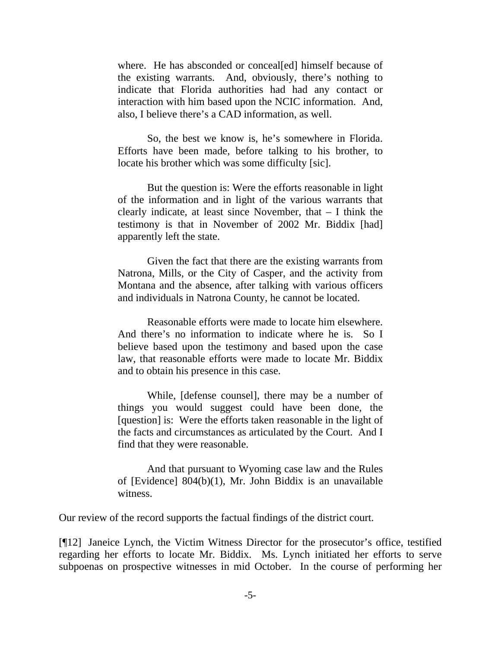where. He has absconded or conceal[ed] himself because of the existing warrants. And, obviously, there's nothing to indicate that Florida authorities had had any contact or interaction with him based upon the NCIC information. And, also, I believe there's a CAD information, as well.

So, the best we know is, he's somewhere in Florida. Efforts have been made, before talking to his brother, to locate his brother which was some difficulty [sic].

But the question is: Were the efforts reasonable in light of the information and in light of the various warrants that clearly indicate, at least since November, that – I think the testimony is that in November of 2002 Mr. Biddix [had] apparently left the state.

Given the fact that there are the existing warrants from Natrona, Mills, or the City of Casper, and the activity from Montana and the absence, after talking with various officers and individuals in Natrona County, he cannot be located.

Reasonable efforts were made to locate him elsewhere. And there's no information to indicate where he is. So I believe based upon the testimony and based upon the case law, that reasonable efforts were made to locate Mr. Biddix and to obtain his presence in this case.

While, [defense counsel], there may be a number of things you would suggest could have been done, the [question] is: Were the efforts taken reasonable in the light of the facts and circumstances as articulated by the Court. And I find that they were reasonable.

And that pursuant to Wyoming case law and the Rules of [Evidence] 804(b)(1), Mr. John Biddix is an unavailable witness.

Our review of the record supports the factual findings of the district court.

[¶12] Janeice Lynch, the Victim Witness Director for the prosecutor's office, testified regarding her efforts to locate Mr. Biddix. Ms. Lynch initiated her efforts to serve subpoenas on prospective witnesses in mid October. In the course of performing her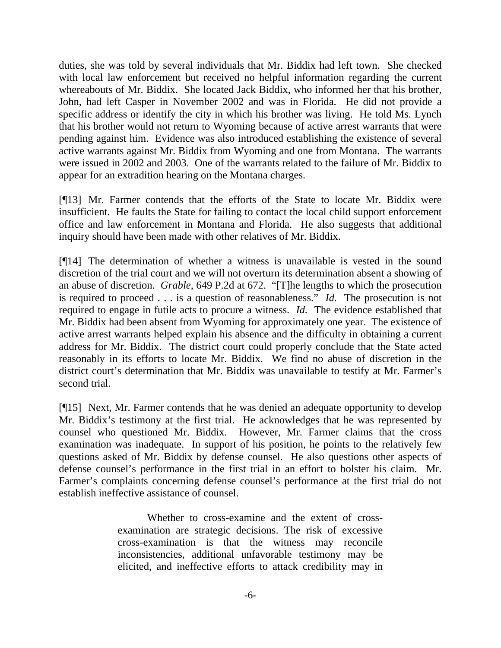duties, she was told by several individuals that Mr. Biddix had left town. She checked with local law enforcement but received no helpful information regarding the current whereabouts of Mr. Biddix. She located Jack Biddix, who informed her that his brother, John, had left Casper in November 2002 and was in Florida. He did not provide a specific address or identify the city in which his brother was living. He told Ms. Lynch that his brother would not return to Wyoming because of active arrest warrants that were pending against him. Evidence was also introduced establishing the existence of several active warrants against Mr. Biddix from Wyoming and one from Montana. The warrants were issued in 2002 and 2003. One of the warrants related to the failure of Mr. Biddix to appear for an extradition hearing on the Montana charges.

[¶13] Mr. Farmer contends that the efforts of the State to locate Mr. Biddix were insufficient. He faults the State for failing to contact the local child support enforcement office and law enforcement in Montana and Florida. He also suggests that additional inquiry should have been made with other relatives of Mr. Biddix.

[¶14] The determination of whether a witness is unavailable is vested in the sound discretion of the trial court and we will not overturn its determination absent a showing of an abuse of discretion. *Grable*, 649 P.2d at 672. "[T]he lengths to which the prosecution is required to proceed . . . is a question of reasonableness." *Id.* The prosecution is not required to engage in futile acts to procure a witness. *Id.* The evidence established that Mr. Biddix had been absent from Wyoming for approximately one year. The existence of active arrest warrants helped explain his absence and the difficulty in obtaining a current address for Mr. Biddix. The district court could properly conclude that the State acted reasonably in its efforts to locate Mr. Biddix. We find no abuse of discretion in the district court's determination that Mr. Biddix was unavailable to testify at Mr. Farmer's second trial.

[¶15] Next, Mr. Farmer contends that he was denied an adequate opportunity to develop Mr. Biddix's testimony at the first trial. He acknowledges that he was represented by counsel who questioned Mr. Biddix. However, Mr. Farmer claims that the cross examination was inadequate. In support of his position, he points to the relatively few questions asked of Mr. Biddix by defense counsel. He also questions other aspects of defense counsel's performance in the first trial in an effort to bolster his claim. Mr. Farmer's complaints concerning defense counsel's performance at the first trial do not establish ineffective assistance of counsel.

> Whether to cross-examine and the extent of crossexamination are strategic decisions. The risk of excessive cross-examination is that the witness may reconcile inconsistencies, additional unfavorable testimony may be elicited, and ineffective efforts to attack credibility may in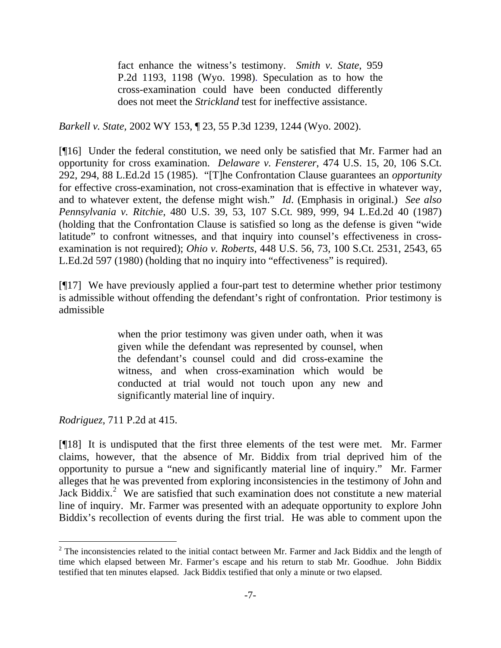fact enhance the witness's testimony. *[Smith v. State](http://www.lexis.com/research/buttonTFLink?_m=a1e25cbcf92f5705b8125310ae232ab5&_xfercite=%3ccite%20cc%3d%22USA%22%3e%3c%21%5bCDATA%5b2002%20WY%20153%5d%5d%3e%3c%2fcite%3e&_butType=3&_butStat=2&_butNum=35&_butInline=1&_butinfo=%3ccite%20cc%3d%22USA%22%3e%3c%21%5bCDATA%5b959%20P.2d%201193%2cat%201198%5d%5d%3e%3c%2fcite%3e&_fmtstr=FULL&docnum=1&_startdoc=1&wchp=dGLbVlb-zSkAV&_md5=6e4dea0eab8d22eb620d4762e79ccfc5)*, 959 [P.2d 1193, 1198 \(Wyo. 1998\).](http://www.lexis.com/research/buttonTFLink?_m=a1e25cbcf92f5705b8125310ae232ab5&_xfercite=%3ccite%20cc%3d%22USA%22%3e%3c%21%5bCDATA%5b2002%20WY%20153%5d%5d%3e%3c%2fcite%3e&_butType=3&_butStat=2&_butNum=35&_butInline=1&_butinfo=%3ccite%20cc%3d%22USA%22%3e%3c%21%5bCDATA%5b959%20P.2d%201193%2cat%201198%5d%5d%3e%3c%2fcite%3e&_fmtstr=FULL&docnum=1&_startdoc=1&wchp=dGLbVlb-zSkAV&_md5=6e4dea0eab8d22eb620d4762e79ccfc5) Speculation as to how the cross-examination could have been conducted differently does not meet the *Strickland* test for ineffective assistance.

*Barkell v. State,* 2002 WY 153, ¶ 23, 55 P.3d 1239, 1244 (Wyo. 2002).

[¶16] Under the federal constitution, we need only be satisfied that Mr. Farmer had an opportunity for cross examination. *Delaware v. Fensterer*, 474 U.S. 15, 20, 106 S.Ct. 292, 294, 88 L.Ed.2d 15 (1985). "[T]he Confrontation Clause guarantees an *opportunity* for effective cross-examination, not cross-examination that is effective in whatever way, and to whatever extent, the defense might wish." *Id*. (Emphasis in original.) *See also Pennsylvania v. Ritchie*, 480 U.S. 39, 53, 107 S.Ct. 989, 999, 94 L.Ed.2d 40 (1987) (holding that the Confrontation Clause is satisfied so long as the defense is given "wide latitude" to confront witnesses, and that inquiry into counsel's effectiveness in crossexamination is not required); *Ohio v. Roberts*, 448 U.S. 56, 73, 100 S.Ct. 2531, 2543, 65 L.Ed.2d 597 (1980) (holding that no inquiry into "effectiveness" is required).

[¶17] We have previously applied a four-part test to determine whether prior testimony is admissible without offending the defendant's right of confrontation. Prior testimony is admissible

> when the prior testimony was given under oath, when it was given while the defendant was represented by counsel, when the defendant's counsel could and did cross-examine the witness, and when cross-examination which would be conducted at trial would not touch upon any new and significantly material line of inquiry.

*Rodriguez,* 711 P.2d at 415.

[¶18] It is undisputed that the first three elements of the test were met. Mr. Farmer claims, however, that the absence of Mr. Biddix from trial deprived him of the opportunity to pursue a "new and significantly material line of inquiry." Mr. Farmer alleges that he was prevented from exploring inconsistencies in the testimony of John and Jack Biddix.<sup>[2](#page-7-0)</sup> We are satisfied that such examination does not constitute a new material line of inquiry. Mr. Farmer was presented with an adequate opportunity to explore John Biddix's recollection of events during the first trial. He was able to comment upon the

<span id="page-7-0"></span> $2$  The inconsistencies related to the initial contact between Mr. Farmer and Jack Biddix and the length of time which elapsed between Mr. Farmer's escape and his return to stab Mr. Goodhue. John Biddix testified that ten minutes elapsed. Jack Biddix testified that only a minute or two elapsed.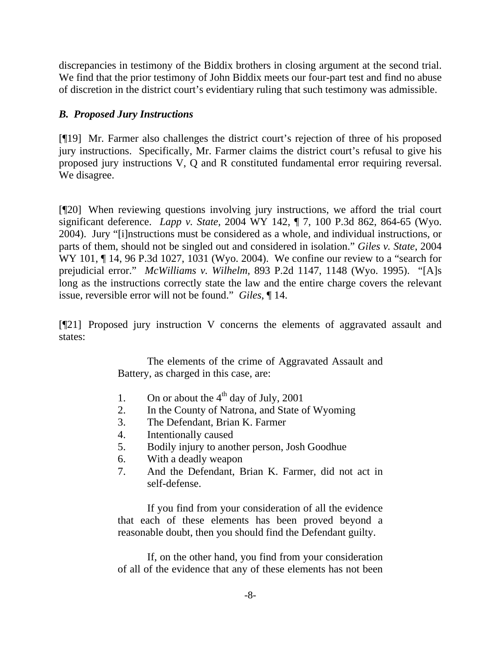discrepancies in testimony of the Biddix brothers in closing argument at the second trial. We find that the prior testimony of John Biddix meets our four-part test and find no abuse of discretion in the district court's evidentiary ruling that such testimony was admissible.

# *B. Proposed Jury Instructions*

[¶19] Mr. Farmer also challenges the district court's rejection of three of his proposed jury instructions. Specifically, Mr. Farmer claims the district court's refusal to give his proposed jury instructions V, Q and R constituted fundamental error requiring reversal. We disagree.

[¶20] When reviewing questions involving jury instructions, we afford the trial court significant deference. *Lapp v. State,* 2004 WY 142, ¶ 7, 100 P.3d 862, 864-65 (Wyo. 2004).Jury "[i]nstructions must be considered as a whole, and individual instructions, or parts of them, should not be singled out and considered in isolation." *Giles v. State*, 2004 WY 101, ¶ 14, 96 P.3d 1027, 1031 (Wyo. 2004). We confine our review to a "search for prejudicial error." *McWilliams v. Wilhelm*, 893 P.2d 1147, 1148 (Wyo. 1995). "[A]s long as the instructions correctly state the law and the entire charge covers the relevant issue, reversible error will not be found." *Giles*, ¶ 14.

[¶21] Proposed jury instruction V concerns the elements of aggravated assault and states:

> The elements of the crime of Aggravated Assault and Battery, as charged in this case, are:

- 1. On or about the  $4<sup>th</sup>$  day of July, 2001
- 2. In the County of Natrona, and State of Wyoming
- 3. The Defendant, Brian K. Farmer
- 4. Intentionally caused
- 5. Bodily injury to another person, Josh Goodhue
- 6. With a deadly weapon
- 7. And the Defendant, Brian K. Farmer, did not act in self-defense.

If you find from your consideration of all the evidence that each of these elements has been proved beyond a reasonable doubt, then you should find the Defendant guilty.

If, on the other hand, you find from your consideration of all of the evidence that any of these elements has not been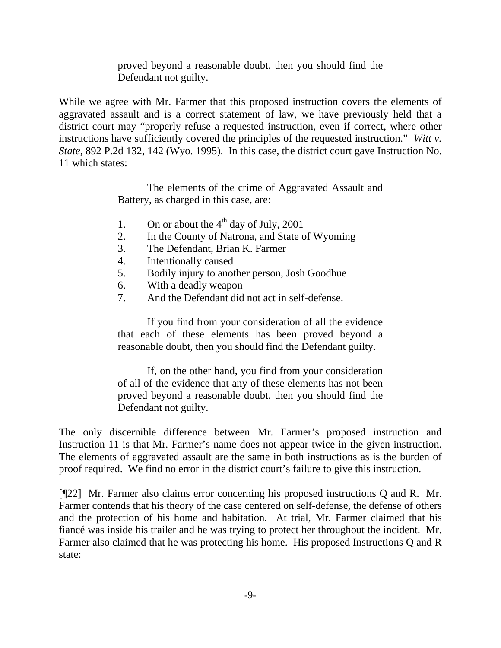proved beyond a reasonable doubt, then you should find the Defendant not guilty.

While we agree with Mr. Farmer that this proposed instruction covers the elements of aggravated assault and is a correct statement of law, we have previously held that a district court may "properly refuse a requested instruction, even if correct, where other instructions have sufficiently covered the principles of the requested instruction." *Witt v. State*, 892 P.2d 132, 142 (Wyo. 1995). In this case, the district court gave Instruction No. 11 which states:

> The elements of the crime of Aggravated Assault and Battery, as charged in this case, are:

- 1. On or about the  $4<sup>th</sup>$  day of July, 2001
- 2. In the County of Natrona, and State of Wyoming
- 3. The Defendant, Brian K. Farmer
- 4. Intentionally caused
- 5. Bodily injury to another person, Josh Goodhue
- 6. With a deadly weapon
- 7. And the Defendant did not act in self-defense.

If you find from your consideration of all the evidence that each of these elements has been proved beyond a reasonable doubt, then you should find the Defendant guilty.

If, on the other hand, you find from your consideration of all of the evidence that any of these elements has not been proved beyond a reasonable doubt, then you should find the Defendant not guilty.

The only discernible difference between Mr. Farmer's proposed instruction and Instruction 11 is that Mr. Farmer's name does not appear twice in the given instruction. The elements of aggravated assault are the same in both instructions as is the burden of proof required. We find no error in the district court's failure to give this instruction.

[¶22] Mr. Farmer also claims error concerning his proposed instructions Q and R. Mr. Farmer contends that his theory of the case centered on self-defense, the defense of others and the protection of his home and habitation. At trial, Mr. Farmer claimed that his fiancé was inside his trailer and he was trying to protect her throughout the incident. Mr. Farmer also claimed that he was protecting his home. His proposed Instructions Q and R state: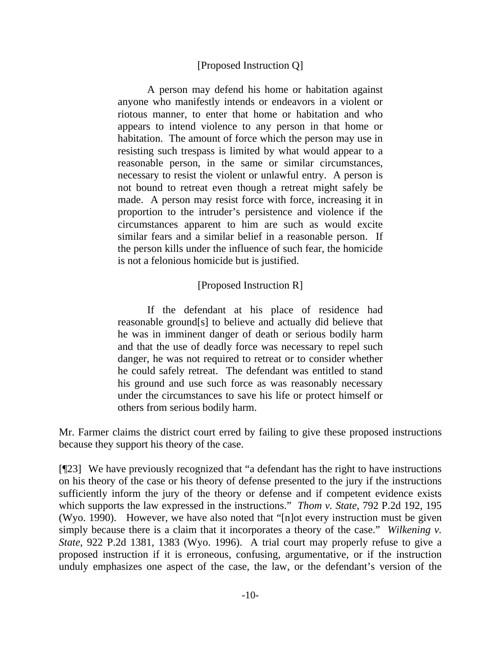# [Proposed Instruction Q]

A person may defend his home or habitation against anyone who manifestly intends or endeavors in a violent or riotous manner, to enter that home or habitation and who appears to intend violence to any person in that home or habitation. The amount of force which the person may use in resisting such trespass is limited by what would appear to a reasonable person, in the same or similar circumstances, necessary to resist the violent or unlawful entry. A person is not bound to retreat even though a retreat might safely be made. A person may resist force with force, increasing it in proportion to the intruder's persistence and violence if the circumstances apparent to him are such as would excite similar fears and a similar belief in a reasonable person. If the person kills under the influence of such fear, the homicide is not a felonious homicide but is justified.

# [Proposed Instruction R]

 If the defendant at his place of residence had reasonable ground[s] to believe and actually did believe that he was in imminent danger of death or serious bodily harm and that the use of deadly force was necessary to repel such danger, he was not required to retreat or to consider whether he could safely retreat. The defendant was entitled to stand his ground and use such force as was reasonably necessary under the circumstances to save his life or protect himself or others from serious bodily harm.

Mr. Farmer claims the district court erred by failing to give these proposed instructions because they support his theory of the case.

[¶23] We have previously recognized that "a defendant has the right to have instructions on his theory of the case or his theory of defense presented to the jury if the instructions sufficiently inform the jury of the theory or defense and if competent evidence exists which supports the law expressed in the instructions." *Thom v. State*, 792 P.2d 192, 195 (Wyo. 1990). However, we have also noted that "[n]ot every instruction must be given simply because there is a claim that it incorporates a theory of the case." *Wilkening v. State*, 922 P.2d 1381, 1383 (Wyo. 1996). A trial court may properly refuse to give a proposed instruction if it is erroneous, confusing, argumentative, or if the instruction unduly emphasizes one aspect of the case, the law, or the defendant's version of the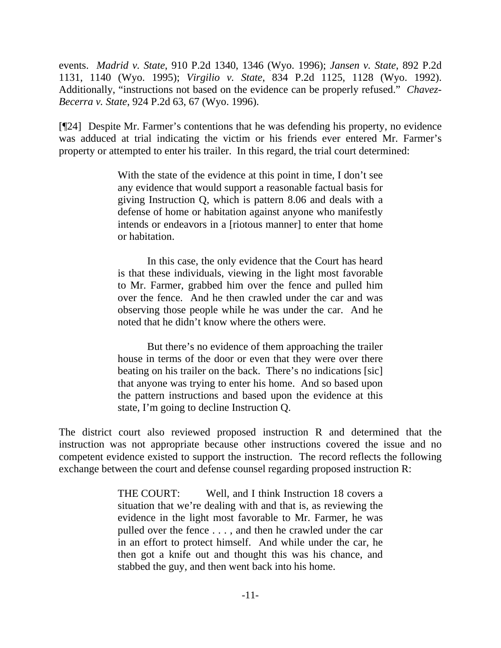events. *Madrid v. State*, 910 P.2d 1340, 1346 (Wyo. 1996); *Jansen v. State*, 892 P.2d 1131, 1140 (Wyo. 1995); *Virgilio v. State*, 834 P.2d 1125, 1128 (Wyo. 1992). Additionally, "instructions not based on the evidence can be properly refused." *Chavez-Becerra v. State*, 924 P.2d 63, 67 (Wyo. 1996).

[¶24] Despite Mr. Farmer's contentions that he was defending his property, no evidence was adduced at trial indicating the victim or his friends ever entered Mr. Farmer's property or attempted to enter his trailer. In this regard, the trial court determined:

> With the state of the evidence at this point in time, I don't see any evidence that would support a reasonable factual basis for giving Instruction Q, which is pattern 8.06 and deals with a defense of home or habitation against anyone who manifestly intends or endeavors in a [riotous manner] to enter that home or habitation.

> In this case, the only evidence that the Court has heard is that these individuals, viewing in the light most favorable to Mr. Farmer, grabbed him over the fence and pulled him over the fence. And he then crawled under the car and was observing those people while he was under the car. And he noted that he didn't know where the others were.

> But there's no evidence of them approaching the trailer house in terms of the door or even that they were over there beating on his trailer on the back. There's no indications [sic] that anyone was trying to enter his home. And so based upon the pattern instructions and based upon the evidence at this state, I'm going to decline Instruction Q.

The district court also reviewed proposed instruction R and determined that the instruction was not appropriate because other instructions covered the issue and no competent evidence existed to support the instruction. The record reflects the following exchange between the court and defense counsel regarding proposed instruction R:

> THE COURT: Well, and I think Instruction 18 covers a situation that we're dealing with and that is, as reviewing the evidence in the light most favorable to Mr. Farmer, he was pulled over the fence . . . , and then he crawled under the car in an effort to protect himself. And while under the car, he then got a knife out and thought this was his chance, and stabbed the guy, and then went back into his home.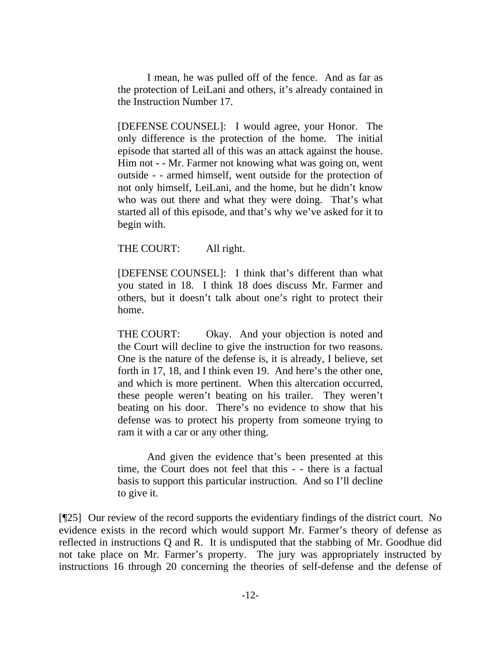I mean, he was pulled off of the fence. And as far as the protection of LeiLani and others, it's already contained in the Instruction Number 17.

[DEFENSE COUNSEL]: I would agree, your Honor. The only difference is the protection of the home. The initial episode that started all of this was an attack against the house. Him not - - Mr. Farmer not knowing what was going on, went outside - - armed himself, went outside for the protection of not only himself, LeiLani, and the home, but he didn't know who was out there and what they were doing. That's what started all of this episode, and that's why we've asked for it to begin with.

THE COURT: All right.

[DEFENSE COUNSEL]: I think that's different than what you stated in 18. I think 18 does discuss Mr. Farmer and others, but it doesn't talk about one's right to protect their home.

THE COURT: Okay. And your objection is noted and the Court will decline to give the instruction for two reasons. One is the nature of the defense is, it is already, I believe, set forth in 17, 18, and I think even 19. And here's the other one, and which is more pertinent. When this altercation occurred, these people weren't beating on his trailer. They weren't beating on his door. There's no evidence to show that his defense was to protect his property from someone trying to ram it with a car or any other thing.

And given the evidence that's been presented at this time, the Court does not feel that this - - there is a factual basis to support this particular instruction. And so I'll decline to give it.

[¶25] Our review of the record supports the evidentiary findings of the district court. No evidence exists in the record which would support Mr. Farmer's theory of defense as reflected in instructions Q and R. It is undisputed that the stabbing of Mr. Goodhue did not take place on Mr. Farmer's property. The jury was appropriately instructed by instructions 16 through 20 concerning the theories of self-defense and the defense of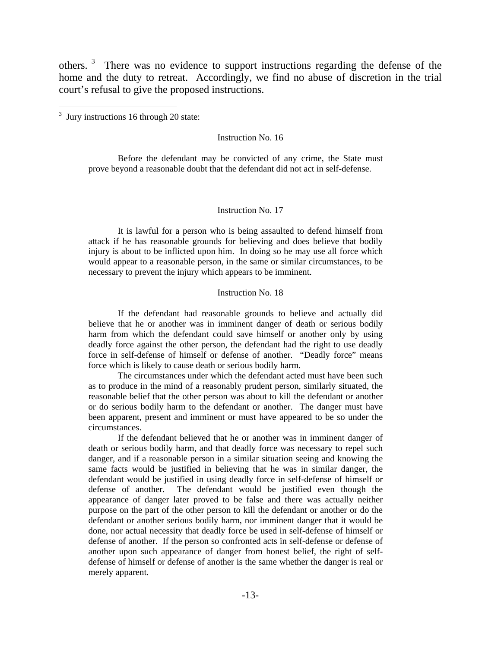others.<sup>[3](#page-13-0)</sup> There was no evidence to support instructions regarding the defense of the home and the duty to retreat. Accordingly, we find no abuse of discretion in the trial court's refusal to give the proposed instructions.

<span id="page-13-0"></span><sup>3</sup> Jury instructions 16 through 20 state:

Instruction No. 16

Before the defendant may be convicted of any crime, the State must prove beyond a reasonable doubt that the defendant did not act in self-defense.

#### Instruction No. 17

It is lawful for a person who is being assaulted to defend himself from attack if he has reasonable grounds for believing and does believe that bodily injury is about to be inflicted upon him. In doing so he may use all force which would appear to a reasonable person, in the same or similar circumstances, to be necessary to prevent the injury which appears to be imminent.

#### Instruction No. 18

If the defendant had reasonable grounds to believe and actually did believe that he or another was in imminent danger of death or serious bodily harm from which the defendant could save himself or another only by using deadly force against the other person, the defendant had the right to use deadly force in self-defense of himself or defense of another. "Deadly force" means force which is likely to cause death or serious bodily harm.

The circumstances under which the defendant acted must have been such as to produce in the mind of a reasonably prudent person, similarly situated, the reasonable belief that the other person was about to kill the defendant or another or do serious bodily harm to the defendant or another. The danger must have been apparent, present and imminent or must have appeared to be so under the circumstances.

If the defendant believed that he or another was in imminent danger of death or serious bodily harm, and that deadly force was necessary to repel such danger, and if a reasonable person in a similar situation seeing and knowing the same facts would be justified in believing that he was in similar danger, the defendant would be justified in using deadly force in self-defense of himself or defense of another. The defendant would be justified even though the appearance of danger later proved to be false and there was actually neither purpose on the part of the other person to kill the defendant or another or do the defendant or another serious bodily harm, nor imminent danger that it would be done, nor actual necessity that deadly force be used in self-defense of himself or defense of another. If the person so confronted acts in self-defense or defense of another upon such appearance of danger from honest belief, the right of selfdefense of himself or defense of another is the same whether the danger is real or merely apparent.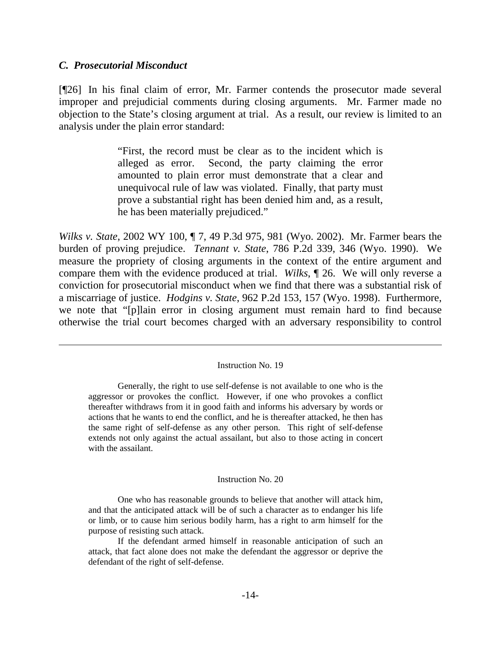#### *C. Prosecutorial Misconduct*

[¶26] In his final claim of error, Mr. Farmer contends the prosecutor made several improper and prejudicial comments during closing arguments. Mr. Farmer made no objection to the State's closing argument at trial. As a result, our review is limited to an analysis under the plain error standard:

> "First, the record must be clear as to the incident which is alleged as error. Second, the party claiming the error amounted to plain error must demonstrate that a clear and unequivocal rule of law was violated. Finally, that party must prove a substantial right has been denied him and, as a result, he has been materially prejudiced."

*Wilks v. State*, 2002 WY 100, ¶ 7, 49 P.3d 975, 981 (Wyo. 2002). Mr. Farmer bears the burden of proving prejudice. *Tennant v. State*, 786 P.2d 339, 346 (Wyo. 1990). We measure the propriety of closing arguments in the context of the entire argument and compare them with the evidence produced at trial. *Wilks*, ¶ 26. We will only reverse a conviction for prosecutorial misconduct when we find that there was a substantial risk of a miscarriage of justice. *Hodgins v. State*, 962 P.2d 153, 157 (Wyo. 1998). Furthermore, we note that "[p]lain error in closing argument must remain hard to find because otherwise the trial court becomes charged with an adversary responsibility to control

#### Instruction No. 19

Generally, the right to use self-defense is not available to one who is the aggressor or provokes the conflict. However, if one who provokes a conflict thereafter withdraws from it in good faith and informs his adversary by words or actions that he wants to end the conflict, and he is thereafter attacked, he then has the same right of self-defense as any other person. This right of self-defense extends not only against the actual assailant, but also to those acting in concert with the assailant.

#### Instruction No. 20

One who has reasonable grounds to believe that another will attack him, and that the anticipated attack will be of such a character as to endanger his life or limb, or to cause him serious bodily harm, has a right to arm himself for the purpose of resisting such attack.

If the defendant armed himself in reasonable anticipation of such an attack, that fact alone does not make the defendant the aggressor or deprive the defendant of the right of self-defense.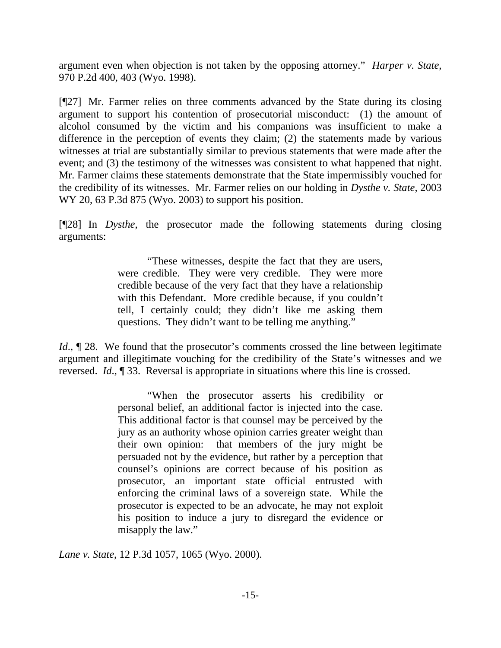argument even when objection is not taken by the opposing attorney." *Harper v. State*, 970 P.2d 400, 403 (Wyo. 1998).

[¶27] Mr. Farmer relies on three comments advanced by the State during its closing argument to support his contention of prosecutorial misconduct: (1) the amount of alcohol consumed by the victim and his companions was insufficient to make a difference in the perception of events they claim; (2) the statements made by various witnesses at trial are substantially similar to previous statements that were made after the event; and (3) the testimony of the witnesses was consistent to what happened that night. Mr. Farmer claims these statements demonstrate that the State impermissibly vouched for the credibility of its witnesses. Mr. Farmer relies on our holding in *Dysthe v. State*, 2003 WY 20, 63 P.3d 875 (Wyo. 2003) to support his position.

[¶28] In *Dysthe*, the prosecutor made the following statements during closing arguments:

> "These witnesses, despite the fact that they are users, were credible. They were very credible. They were more credible because of the very fact that they have a relationship with this Defendant. More credible because, if you couldn't tell, I certainly could; they didn't like me asking them questions. They didn't want to be telling me anything."

*Id.*,  $\mathbb{I}$  28. We found that the prosecutor's comments crossed the line between legitimate argument and illegitimate vouching for the credibility of the State's witnesses and we reversed. *Id*., ¶ 33. Reversal is appropriate in situations where this line is crossed.

> "When the prosecutor asserts his credibility or personal belief, an additional factor is injected into the case. This additional factor is that counsel may be perceived by the jury as an authority whose opinion carries greater weight than their own opinion: that members of the jury might be persuaded not by the evidence, but rather by a perception that counsel's opinions are correct because of his position as prosecutor, an important state official entrusted with enforcing the criminal laws of a sovereign state. While the prosecutor is expected to be an advocate, he may not exploit his position to induce a jury to disregard the evidence or misapply the law."

*Lane v. State*, 12 P.3d 1057, 1065 (Wyo. 2000).